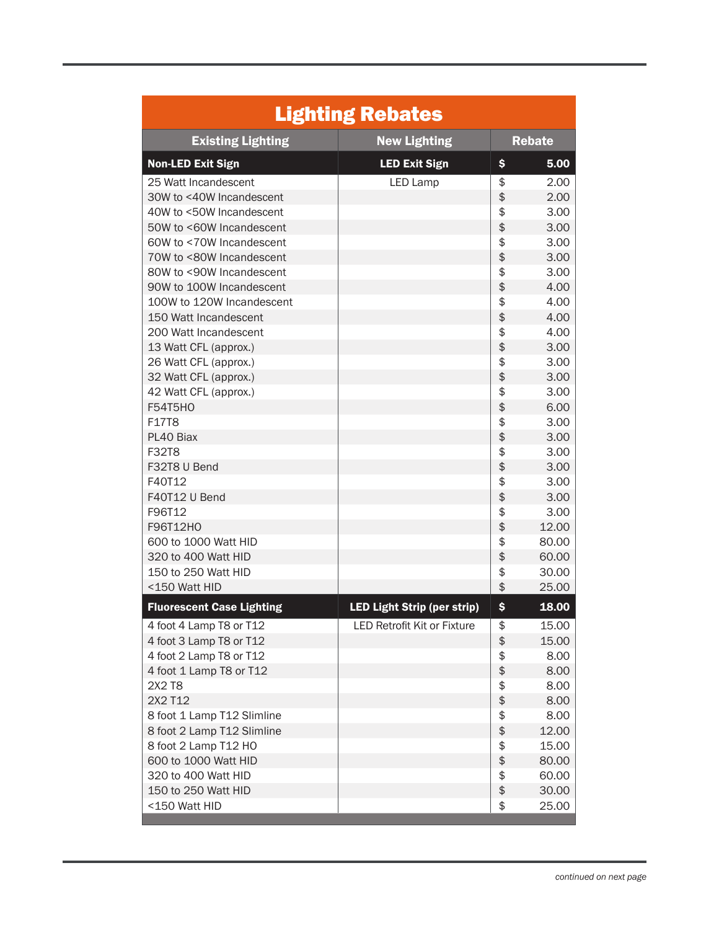| <b>Lighting Rebates</b>          |                                    |               |       |  |  |
|----------------------------------|------------------------------------|---------------|-------|--|--|
| <b>Existing Lighting</b>         | <b>New Lighting</b>                | <b>Rebate</b> |       |  |  |
| <b>Non-LED Exit Sign</b>         | <b>LED Exit Sign</b>               | \$            | 5.00  |  |  |
| 25 Watt Incandescent             | <b>LED Lamp</b>                    | \$            | 2.00  |  |  |
| 30W to <40W Incandescent         |                                    | \$            | 2.00  |  |  |
| 40W to <50W Incandescent         |                                    | \$            | 3.00  |  |  |
| 50W to <60W Incandescent         |                                    | \$            | 3.00  |  |  |
| 60W to <70W Incandescent         |                                    | \$            | 3.00  |  |  |
| 70W to <80W Incandescent         |                                    | \$            | 3.00  |  |  |
| 80W to <90W Incandescent         |                                    | \$            | 3.00  |  |  |
| 90W to 100W Incandescent         |                                    | \$            | 4.00  |  |  |
| 100W to 120W Incandescent        |                                    | \$            | 4.00  |  |  |
| 150 Watt Incandescent            |                                    | \$            | 4.00  |  |  |
| 200 Watt Incandescent            |                                    | \$            | 4.00  |  |  |
| 13 Watt CFL (approx.)            |                                    | \$            | 3.00  |  |  |
| 26 Watt CFL (approx.)            |                                    | \$            | 3.00  |  |  |
| 32 Watt CFL (approx.)            |                                    | \$            | 3.00  |  |  |
| 42 Watt CFL (approx.)            |                                    | \$            | 3.00  |  |  |
| <b>F54T5HO</b>                   |                                    | \$            | 6.00  |  |  |
| F17T8                            |                                    | \$            | 3.00  |  |  |
| PL40 Biax                        |                                    | \$            | 3.00  |  |  |
| <b>F32T8</b>                     |                                    | \$            | 3.00  |  |  |
| F32T8 U Bend                     |                                    | \$            | 3.00  |  |  |
| F40T12                           |                                    | \$            | 3.00  |  |  |
| F40T12 U Bend                    |                                    | \$            | 3.00  |  |  |
| F96T12                           |                                    | \$            | 3.00  |  |  |
| F96T12H0                         |                                    | \$            | 12.00 |  |  |
| 600 to 1000 Watt HID             |                                    | \$            | 80.00 |  |  |
| 320 to 400 Watt HID              |                                    | \$            | 60.00 |  |  |
| 150 to 250 Watt HID              |                                    | \$            | 30.00 |  |  |
| <150 Watt HID                    |                                    | \$            | 25.00 |  |  |
| <b>Fluorescent Case Lighting</b> | <b>LED Light Strip (per strip)</b> | \$            | 18.00 |  |  |
| 4 foot 4 Lamp T8 or T12          | <b>LED Retrofit Kit or Fixture</b> | \$            | 15.00 |  |  |
| 4 foot 3 Lamp T8 or T12          |                                    | \$            | 15.00 |  |  |
| 4 foot 2 Lamp T8 or T12          |                                    | \$            | 8.00  |  |  |
| 4 foot 1 Lamp T8 or T12          |                                    | \$            | 8.00  |  |  |
| 2X2 T8                           |                                    | \$            | 8.00  |  |  |
| 2X2 T12                          |                                    | \$            | 8.00  |  |  |
| 8 foot 1 Lamp T12 Slimline       |                                    | \$            | 8.00  |  |  |
| 8 foot 2 Lamp T12 Slimline       |                                    | \$            | 12.00 |  |  |
| 8 foot 2 Lamp T12 HO             |                                    | \$            | 15.00 |  |  |
| 600 to 1000 Watt HID             |                                    | \$            | 80.00 |  |  |
| 320 to 400 Watt HID              |                                    | \$            | 60.00 |  |  |
| 150 to 250 Watt HID              |                                    | \$            | 30.00 |  |  |
| <150 Watt HID                    |                                    | \$            | 25.00 |  |  |